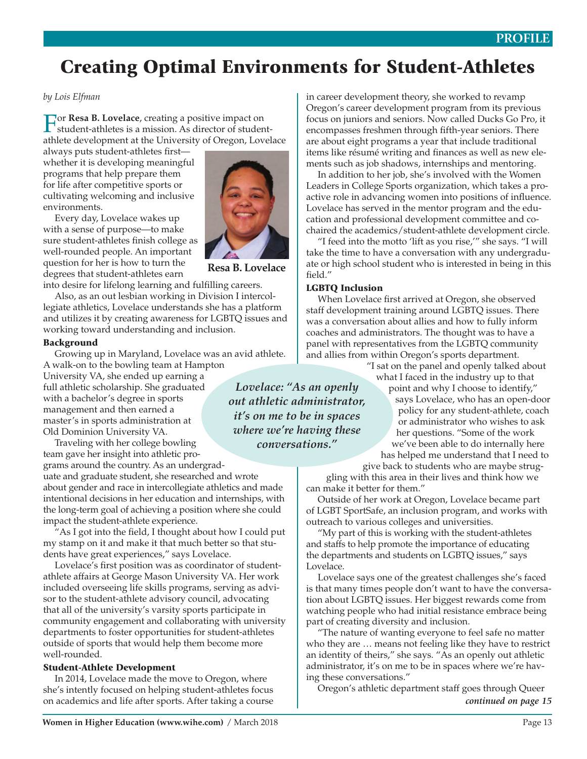## **PROFILE**

# Creating Optimal Environments for Student-Athletes

*by Lois Elfman*

**For Resa B. Lovelace**, creating a positive impact on student-athletes is a mission. As director of studentathlete development at the University of Oregon, Lovelace

always puts student-athletes first whether it is developing meaningful programs that help prepare them for life after competitive sports or cultivating welcoming and inclusive environments.

Every day, Lovelace wakes up with a sense of purpose—to make sure student-athletes finish college as well-rounded people. An important question for her is how to turn the degrees that student-athletes earn



**Resa B. Lovelace**

into desire for lifelong learning and fulfilling careers. Also, as an out lesbian working in Division I intercollegiate athletics, Lovelace understands she has a platform and utilizes it by creating awareness for LGBTQ issues and working toward understanding and inclusion.

#### Background

Growing up in Maryland, Lovelace was an avid athlete. A walk-on to the bowling team at Hampton

University VA, she ended up earning a full athletic scholarship. She graduated with a bachelor's degree in sports management and then earned a master's in sports administration at Old Dominion University VA.

Traveling with her college bowling team gave her insight into athletic pro-

grams around the country. As an undergraduate and graduate student, she researched and wrote about gender and race in intercollegiate athletics and made intentional decisions in her education and internships, with the long-term goal of achieving a position where she could impact the student-athlete experience.

"As I got into the field, I thought about how I could put my stamp on it and make it that much better so that students have great experiences," says Lovelace.

Lovelace's first position was as coordinator of studentathlete affairs at George Mason University VA. Her work included overseeing life skills programs, serving as advisor to the student-athlete advisory council, advocating that all of the university's varsity sports participate in community engagement and collaborating with university departments to foster opportunities for student-athletes outside of sports that would help them become more well-rounded.

#### Student-Athlete Development

In 2014, Lovelace made the move to Oregon, where she's intently focused on helping student-athletes focus on academics and life after sports. After taking a course

in career development theory, she worked to revamp Oregon's career development program from its previous focus on juniors and seniors. Now called Ducks Go Pro, it encompasses freshmen through fifth-year seniors. There are about eight programs a year that include traditional items like résumé writing and finances as well as new elements such as job shadows, internships and mentoring.

In addition to her job, she's involved with the Women Leaders in College Sports organization, which takes a proactive role in advancing women into positions of influence. Lovelace has served in the mentor program and the education and professional development committee and cochaired the academics/student-athlete development circle.

"I feed into the motto 'lift as you rise,'" she says. "I will take the time to have a conversation with any undergraduate or high school student who is interested in being in this field."

#### LGBTQ Inclusion

When Lovelace first arrived at Oregon, she observed staff development training around LGBTQ issues. There was a conversation about allies and how to fully inform coaches and administrators. The thought was to have a panel with representatives from the LGBTQ community and allies from within Oregon's sports department.

"I sat on the panel and openly talked about what I faced in the industry up to that

point and why I choose to identify," says Lovelace, who has an open-door policy for any student-athlete, coach or administrator who wishes to ask her questions. "Some of the work we've been able to do internally here has helped me understand that I need to

give back to students who are maybe strug-

gling with this area in their lives and think how we can make it better for them."

Outside of her work at Oregon, Lovelace became part of LGBT SportSafe, an inclusion program, and works with outreach to various colleges and universities.

"My part of this is working with the student-athletes and staffs to help promote the importance of educating the departments and students on LGBTQ issues," says Lovelace.

Lovelace says one of the greatest challenges she's faced is that many times people don't want to have the conversation about LGBTQ issues. Her biggest rewards come from watching people who had initial resistance embrace being part of creating diversity and inclusion.

"The nature of wanting everyone to feel safe no matter who they are … means not feeling like they have to restrict an identity of theirs," she says. "As an openly out athletic administrator, it's on me to be in spaces where we're having these conversations."

Oregon's athletic department staff goes through Queer *continued on page 15*

*out athletic administrator, it's on me to be in spaces where we're having these conversations."*

*Lovelace: "As an openly*